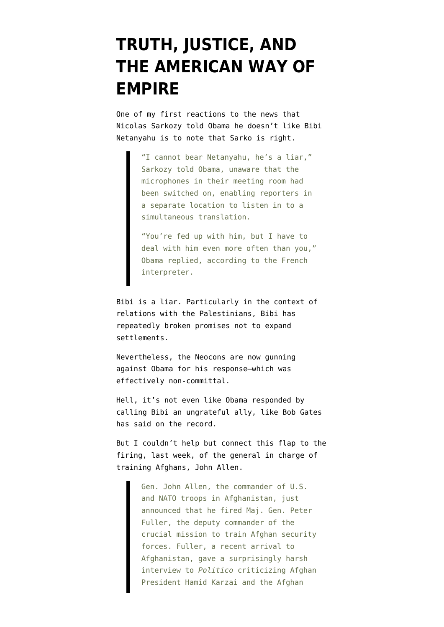## **[TRUTH, JUSTICE, AND](https://www.emptywheel.net/2011/11/09/truth-justice-and-the-american-way-of-empire/) [THE AMERICAN WAY OF](https://www.emptywheel.net/2011/11/09/truth-justice-and-the-american-way-of-empire/) [EMPIRE](https://www.emptywheel.net/2011/11/09/truth-justice-and-the-american-way-of-empire/)**

One of my first reactions to the [news](http://www.reuters.com/article/2011/11/08/us-mideast-netanyahu-sarkozy-idUSTRE7A720120111108) that Nicolas Sarkozy told Obama he doesn't like Bibi Netanyahu is to note that Sarko is right.

> "I cannot bear Netanyahu, he's a liar," Sarkozy told Obama, unaware that the microphones in their meeting room had been switched on, enabling reporters in a separate location to listen in to a simultaneous translation.

"You're fed up with him, but I have to deal with him even more often than you," Obama replied, according to the French interpreter.

Bibi is a liar. Particularly in the context of relations with the Palestinians, Bibi has repeatedly [broken promises](http://www.haaretz.com/news/diplomacy-defense/netanyahu-israel-agreed-to-new-settlement-freeze-but-u-s-retracted-offer-1.334965) not to expand settlements.

Nevertheless, the Neocons are now gunning against Obama for his response–which was effectively non-committal.

Hell, it's not even like Obama responded by calling Bibi an ungrateful ally, like Bob Gates [has said](http://www.bloomberg.com/news/2011-09-06/robert-gates-says-israel-is-an-ungrateful-ally-jeffrey-goldberg.html) on the record.

But I couldn't help but connect this flap to [the](http://www.wired.com/dangerroom/2011/11/fuller-fired-dissing-karzai/#more-62372) [firing](http://www.wired.com/dangerroom/2011/11/fuller-fired-dissing-karzai/#more-62372), last week, of the general in charge of training Afghans, John Allen.

> Gen. John Allen, the commander of U.S. and NATO troops in Afghanistan, just announced that he fired Maj. Gen. Peter Fuller, the deputy commander of the crucial mission to train Afghan security forces. Fuller, a recent arrival to Afghanistan, gave a surprisingly harsh interview to *Politico* criticizing Afghan President Hamid Karzai and the Afghan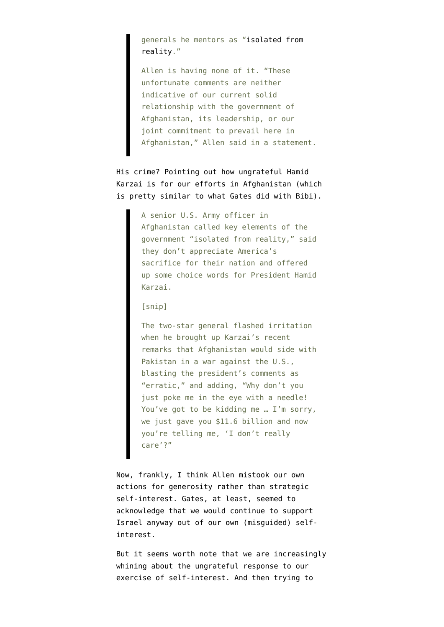generals he mentors as "[isolated from](http://www.politico.com/news/stories/1111/67523.html) [reality.](http://www.politico.com/news/stories/1111/67523.html)"

Allen is having none of it. "These unfortunate comments are neither indicative of our current solid relationship with the government of Afghanistan, its leadership, or our joint commitment to prevail here in Afghanistan," Allen said in a statement.

His crime? [Pointing out](http://www.politico.com/news/stories/1111/67523.html) how ungrateful Hamid Karzai is for our efforts in Afghanistan (which is pretty similar to what Gates did with Bibi).

> A senior U.S. Army officer in Afghanistan called key elements of the government "isolated from reality," said they don't appreciate America's sacrifice for their nation and offered up some choice words for President Hamid Karzai.

[snip]

The two-star general flashed irritation when he brought up Karzai's recent remarks that Afghanistan would side with Pakistan in a war against the U.S., blasting the president's comments as "erratic," and adding, "Why don't you just poke me in the eye with a needle! You've got to be kidding me … I'm sorry, we just gave you \$11.6 billion and now you're telling me, 'I don't really care'?"

Now, frankly, I think Allen mistook our own actions for generosity rather than strategic self-interest. Gates, at least, seemed to acknowledge that we would continue to support Israel anyway out of our own (misguided) selfinterest.

But it seems worth note that we are increasingly whining about the ungrateful response to our exercise of self-interest. And then trying to